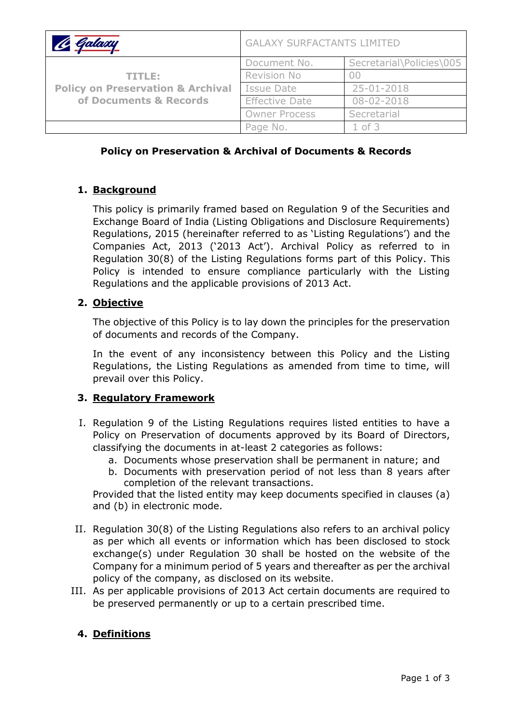| <u> le Galaxy</u>                                                                | <b>GALAXY SURFACTANTS LIMITED</b> |                          |
|----------------------------------------------------------------------------------|-----------------------------------|--------------------------|
| TITLE:<br><b>Policy on Preservation &amp; Archival</b><br>of Documents & Records | Document No.                      | Secretarial\Policies\005 |
|                                                                                  | Revision No                       |                          |
|                                                                                  | Issue Date                        | 25-01-2018               |
|                                                                                  | <b>Effective Date</b>             | $08 - 02 - 2018$         |
|                                                                                  | <b>Owner Process</b>              | Secretarial              |
|                                                                                  | Page No.                          | $1$ of $3$               |

## **Policy on Preservation & Archival of Documents & Records**

### **1. Background**

This policy is primarily framed based on Regulation 9 of the Securities and Exchange Board of India (Listing Obligations and Disclosure Requirements) Regulations, 2015 (hereinafter referred to as 'Listing Regulations') and the Companies Act, 2013 ('2013 Act'). Archival Policy as referred to in Regulation 30(8) of the Listing Regulations forms part of this Policy. This Policy is intended to ensure compliance particularly with the Listing Regulations and the applicable provisions of 2013 Act.

### **2. Objective**

The objective of this Policy is to lay down the principles for the preservation of documents and records of the Company.

In the event of any inconsistency between this Policy and the Listing Regulations, the Listing Regulations as amended from time to time, will prevail over this Policy.

#### **3. Regulatory Framework**

- I. Regulation 9 of the Listing Regulations requires listed entities to have a Policy on Preservation of documents approved by its Board of Directors, classifying the documents in at-least 2 categories as follows:
	- a. Documents whose preservation shall be permanent in nature; and
	- b. Documents with preservation period of not less than 8 years after completion of the relevant transactions.

Provided that the listed entity may keep documents specified in clauses (a) and (b) in electronic mode.

- II. Regulation 30(8) of the Listing Regulations also refers to an archival policy as per which all events or information which has been disclosed to stock exchange(s) under Regulation 30 shall be hosted on the website of the Company for a minimum period of 5 years and thereafter as per the archival policy of the company, as disclosed on its website.
- III. As per applicable provisions of 2013 Act certain documents are required to be preserved permanently or up to a certain prescribed time.

# **4. Definitions**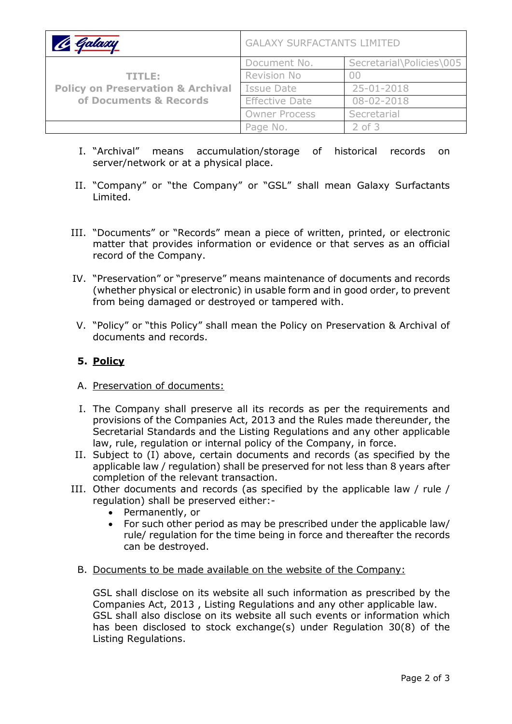| <b>&amp; Galaxy</b>                                                              | <b>GALAXY SURFACTANTS LIMITED</b> |                          |
|----------------------------------------------------------------------------------|-----------------------------------|--------------------------|
| TITLE:<br><b>Policy on Preservation &amp; Archival</b><br>of Documents & Records | Document No.                      | Secretarial\Policies\005 |
|                                                                                  | Revision No                       |                          |
|                                                                                  | Issue Date                        | 25-01-2018               |
|                                                                                  | <b>Effective Date</b>             | $08 - 02 - 2018$         |
|                                                                                  | <b>Owner Process</b>              | Secretarial              |
|                                                                                  | Page No.                          | $2$ of $3$               |

- I. "Archival" means accumulation/storage of historical records on server/network or at a physical place.
- II. "Company" or "the Company" or "GSL" shall mean Galaxy Surfactants Limited.
- III. "Documents" or "Records" mean a piece of written, printed, or electronic matter that provides information or evidence or that serves as an official record of the Company.
- IV. "Preservation" or "preserve" means maintenance of documents and records (whether physical or electronic) in usable form and in good order, to prevent from being damaged or destroyed or tampered with.
- V. "Policy" or "this Policy" shall mean the Policy on Preservation & Archival of documents and records.

# **5. Policy**

- A. Preservation of documents:
- I. The Company shall preserve all its records as per the requirements and provisions of the Companies Act, 2013 and the Rules made thereunder, the Secretarial Standards and the Listing Regulations and any other applicable law, rule, regulation or internal policy of the Company, in force.
- II. Subject to (I) above, certain documents and records (as specified by the applicable law / regulation) shall be preserved for not less than 8 years after completion of the relevant transaction.
- III. Other documents and records (as specified by the applicable law / rule / regulation) shall be preserved either:-
	- Permanently, or
	- For such other period as may be prescribed under the applicable law/ rule/ regulation for the time being in force and thereafter the records can be destroyed.
	- B. Documents to be made available on the website of the Company:

GSL shall disclose on its website all such information as prescribed by the Companies Act, 2013 , Listing Regulations and any other applicable law. GSL shall also disclose on its website all such events or information which has been disclosed to stock exchange(s) under Regulation 30(8) of the Listing Regulations.